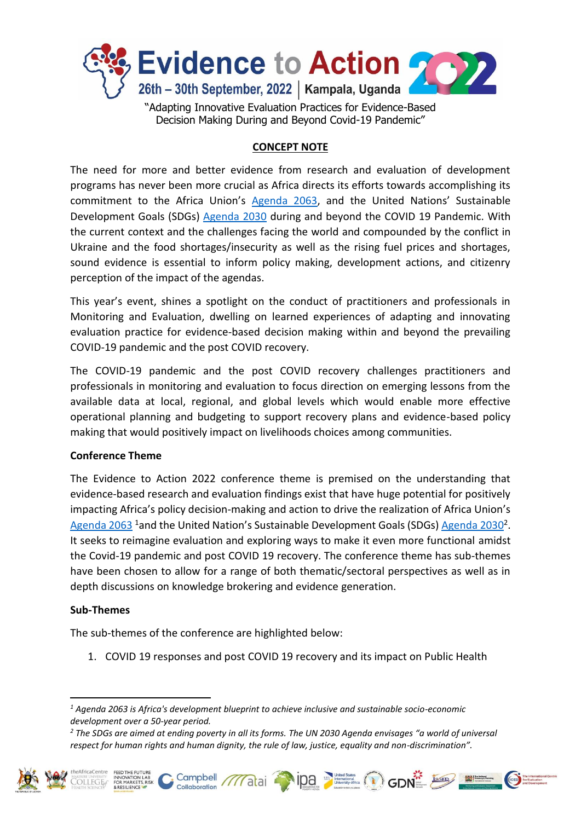

# **CONCEPT NOTE**

The need for more and better evidence from research and evaluation of development programs has never been more crucial as Africa directs its efforts towards accomplishing its commitment to the Africa Union's [Agenda 2063,](https://au.int/en/agenda2063/overview) and the United Nations' Sustainable Development Goals (SDGs) [Agenda 2030](https://sdgs.un.org/goals) during and beyond the COVID 19 Pandemic. With the current context and the challenges facing the world and compounded by the conflict in Ukraine and the food shortages/insecurity as well as the rising fuel prices and shortages, sound evidence is essential to inform policy making, development actions, and citizenry perception of the impact of the agendas.

This year's event, shines a spotlight on the conduct of practitioners and professionals in Monitoring and Evaluation, dwelling on learned experiences of adapting and innovating evaluation practice for evidence-based decision making within and beyond the prevailing COVID-19 pandemic and the post COVID recovery.

The COVID-19 pandemic and the post COVID recovery challenges practitioners and professionals in monitoring and evaluation to focus direction on emerging lessons from the available data at local, regional, and global levels which would enable more effective operational planning and budgeting to support recovery plans and evidence-based policy making that would positively impact on livelihoods choices among communities.

## **Conference Theme**

The Evidence to Action 2022 conference theme is premised on the understanding that evidence-based research and evaluation findings exist that have huge potential for positively impacting Africa's policy decision-making and action to drive the realization of Africa Union's [Agenda 2063](https://au.int/en/agenda2063/overview) <sup>1</sup>and the United Nation's Sustainable Development Goals (SDGs) [Agenda 2030](https://sdgs.un.org/goals)<sup>2</sup>. It seeks to reimagine evaluation and exploring ways to make it even more functional amidst the Covid-19 pandemic and post COVID 19 recovery. The conference theme has sub-themes have been chosen to allow for a range of both thematic/sectoral perspectives as well as in depth discussions on knowledge brokering and evidence generation.

#### **Sub-Themes**

1

The sub-themes of the conference are highlighted below:

1. COVID 19 responses and post COVID 19 recovery and its impact on Public Health

*<sup>2</sup> The SDGs are aimed at ending poverty in all its forms. The UN 2030 Agenda envisages "a world of universal respect for human rights and human dignity, the rule of law, justice, equality and non-discrimination".*





*<sup>1</sup> Agenda 2063 is Africa's development blueprint to achieve inclusive and sustainable socio-economic development over a 50-year period.*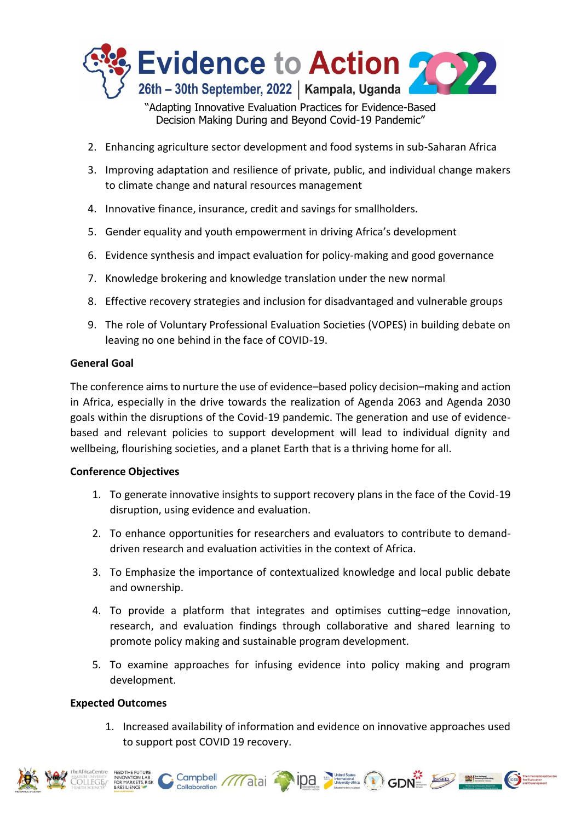

Decision Making During and Beyond Covid-19 Pandemic"

- 2. Enhancing agriculture sector development and food systems in sub-Saharan Africa
- 3. Improving adaptation and resilience of private, public, and individual change makers to climate change and natural resources management
- 4. Innovative finance, insurance, credit and savings for smallholders.
- 5. Gender equality and youth empowerment in driving Africa's development
- 6. Evidence synthesis and impact evaluation for policy-making and good governance
- 7. Knowledge brokering and knowledge translation under the new normal
- 8. Effective recovery strategies and inclusion for disadvantaged and vulnerable groups
- 9. The role of Voluntary Professional Evaluation Societies (VOPES) in building debate on leaving no one behind in the face of COVID-19.

### **General Goal**

The conference aims to nurture the use of evidence–based policy decision–making and action in Africa, especially in the drive towards the realization of Agenda 2063 and Agenda 2030 goals within the disruptions of the Covid-19 pandemic. The generation and use of evidencebased and relevant policies to support development will lead to individual dignity and wellbeing, flourishing societies, and a planet Earth that is a thriving home for all.

## **Conference Objectives**

- 1. To generate innovative insights to support recovery plans in the face of the Covid-19 disruption, using evidence and evaluation.
- 2. To enhance opportunities for researchers and evaluators to contribute to demanddriven research and evaluation activities in the context of Africa.
- 3. To Emphasize the importance of contextualized knowledge and local public debate and ownership.
- 4. To provide a platform that integrates and optimises cutting–edge innovation, research, and evaluation findings through collaborative and shared learning to promote policy making and sustainable program development.
- 5. To examine approaches for infusing evidence into policy making and program development.

## **Expected Outcomes**

1. Increased availability of information and evidence on innovative approaches used to support post COVID 19 recovery.

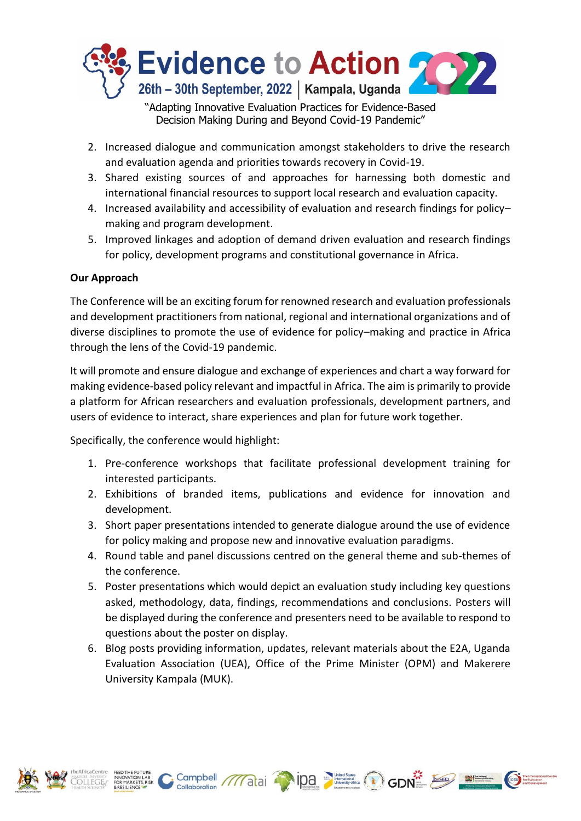

Decision Making During and Beyond Covid-19 Pandemic"

- 2. Increased dialogue and communication amongst stakeholders to drive the research and evaluation agenda and priorities towards recovery in Covid-19.
- 3. Shared existing sources of and approaches for harnessing both domestic and international financial resources to support local research and evaluation capacity.
- 4. Increased availability and accessibility of evaluation and research findings for policy– making and program development.
- 5. Improved linkages and adoption of demand driven evaluation and research findings for policy, development programs and constitutional governance in Africa.

### **Our Approach**

The Conference will be an exciting forum for renowned research and evaluation professionals and development practitioners from national, regional and international organizations and of diverse disciplines to promote the use of evidence for policy–making and practice in Africa through the lens of the Covid-19 pandemic.

It will promote and ensure dialogue and exchange of experiences and chart a way forward for making evidence-based policy relevant and impactful in Africa. The aim is primarily to provide a platform for African researchers and evaluation professionals, development partners, and users of evidence to interact, share experiences and plan for future work together.

Specifically, the conference would highlight:

Collaboration

- 1. Pre-conference workshops that facilitate professional development training for interested participants.
- 2. Exhibitions of branded items, publications and evidence for innovation and development.
- 3. Short paper presentations intended to generate dialogue around the use of evidence for policy making and propose new and innovative evaluation paradigms.
- 4. Round table and panel discussions centred on the general theme and sub-themes of the conference.
- 5. Poster presentations which would depict an evaluation study including key questions asked, methodology, data, findings, recommendations and conclusions. Posters will be displayed during the conference and presenters need to be available to respond to questions about the poster on display.
- 6. Blog posts providing information, updates, relevant materials about the E2A, Uganda Evaluation Association (UEA), Office of the Prime Minister (OPM) and Makerere University Kampala (MUK).

Campbell ///atai 108 2 Campbell Collaboration ///atai